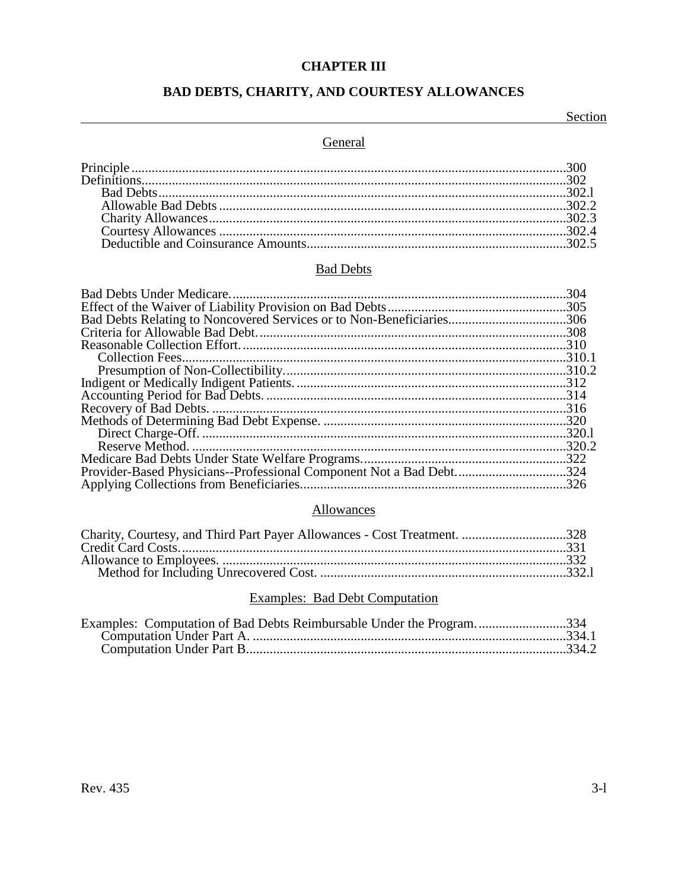## **CHAPTER III**

## **BAD DEBTS, CHARITY, AND COURTESY ALLOWANCES**

Section

## General

# **Bad Debts**

| Bad Debts Relating to Noncovered Services or to Non-Beneficiaries306 |  |
|----------------------------------------------------------------------|--|
|                                                                      |  |
|                                                                      |  |
|                                                                      |  |
|                                                                      |  |
|                                                                      |  |
|                                                                      |  |
|                                                                      |  |
|                                                                      |  |
|                                                                      |  |
|                                                                      |  |
|                                                                      |  |
| Provider-Based Physicians--Professional Component Not a Bad Debt324  |  |
|                                                                      |  |

# Allowances

| Charity, Courtesy, and Third Part Payer Allowances - Cost Treatment. 328 |  |
|--------------------------------------------------------------------------|--|
|                                                                          |  |
|                                                                          |  |
|                                                                          |  |
|                                                                          |  |

## **Examples: Bad Debt Computation**

| Examples: Computation of Bad Debts Reimbursable Under the Program334 |  |
|----------------------------------------------------------------------|--|
|                                                                      |  |
|                                                                      |  |
|                                                                      |  |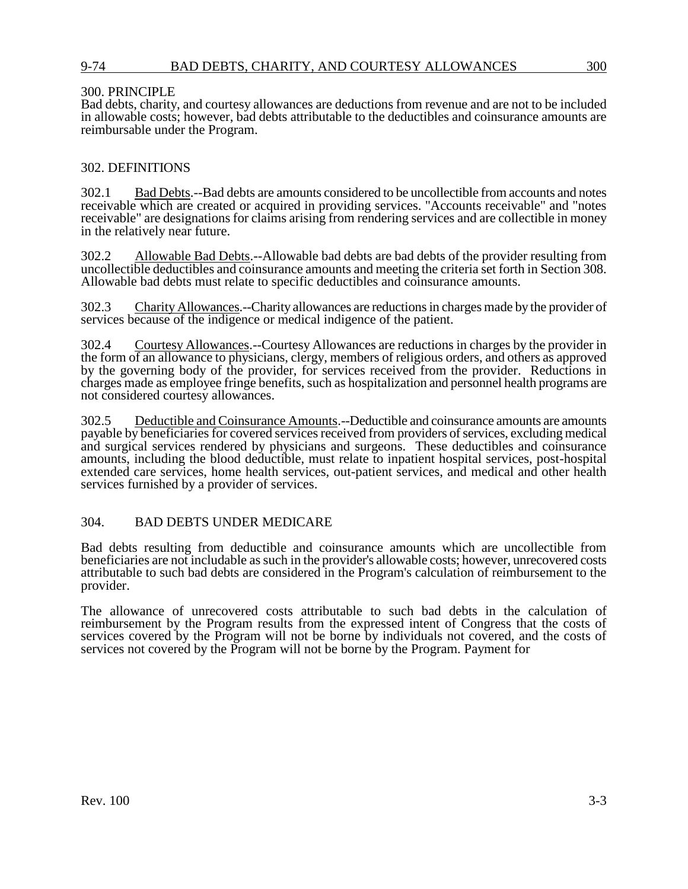## 9-74 BAD DEBTS, CHARITY, AND COURTESY ALLOWANCES 300

## 300. PRINCIPLE

Bad debts, charity, and courtesy allowances are deductions from revenue and are not to be included in allowable costs; however, bad debts attributable to the deductibles and coinsurance amounts are reimbursable under the Program.

## 302. DEFINITIONS

302.1 Bad Debts.--Bad debts are amounts considered to be uncollectible from accounts and notes receivable which are created or acquired in providing services. "Accounts receivable" and "notes receivable" are designations for claims arising from rendering services and are collectible in money in the relatively near future.

302.2 Allowable Bad Debts.--Allowable bad debts are bad debts of the provider resulting from uncollectible deductibles and coinsurance amounts and meeting the criteria set forth in Section 308. Allowable bad debts must relate to specific deductibles and coinsurance amounts.

302.3 Charity Allowances.--Charity allowances are reductions in charges made by the provider of services because of the indigence or medical indigence of the patient.

302.4 Courtesy Allowances.--Courtesy Allowances are reductions in charges by the provider in the form of an allowance to physicians, clergy, members of religious orders, and others as approved by the governing body of the provider, for services received from the provider. Reductions in charges made as employee fringe benefits, such as hospitalization and personnel health programs are not considered courtesy allowances.

302.5 Deductible and Coinsurance Amounts.--Deductible and coinsurance amounts are amounts payable by beneficiaries for covered services received from providers of services, excluding medical and surgical services rendered by physicians and surgeons. These deductibles and coinsurance amounts, including the blood deductible, must relate to inpatient hospital services, post-hospital extended care services, home health services, out-patient services, and medical and other health services furnished by a provider of services.

## 304. BAD DEBTS UNDER MEDICARE

Bad debts resulting from deductible and coinsurance amounts which are uncollectible from beneficiaries are not includable as such in the provider's allowable costs; however, unrecovered costs attributable to such bad debts are considered in the Program's calculation of reimbursement to the provider.

The allowance of unrecovered costs attributable to such bad debts in the calculation of reimbursement by the Program results from the expressed intent of Congress that the costs of services covered by the Program will not be borne by individuals not covered, and the costs of services not covered by the Program will not be borne by the Program. Payment for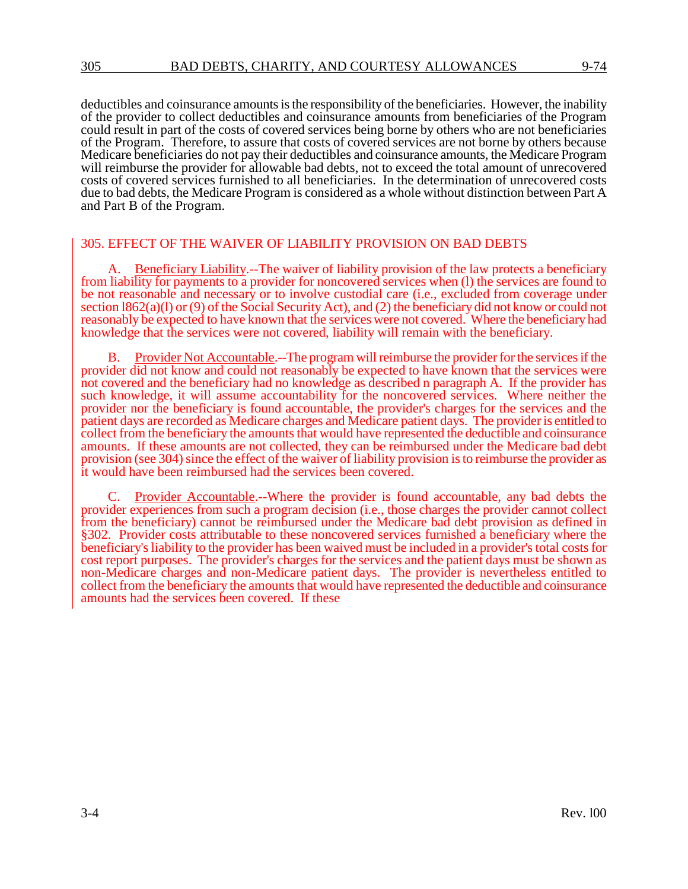deductibles and coinsurance amounts is the responsibility of the beneficiaries. However, the inability of the provider to collect deductibles and coinsurance amounts from beneficiaries of the Program could result in part of the costs of covered services being borne by others who are not beneficiaries of the Program. Therefore, to assure that costs of covered services are not borne by others because Medicare beneficiaries do not pay their deductibles and coinsurance amounts, the Medicare Program will reimburse the provider for allowable bad debts, not to exceed the total amount of unrecovered costs of covered services furnished to all beneficiaries. In the determination of unrecovered costs due to bad debts, the Medicare Program is considered as a whole without distinction between Part A and Part B of the Program.

## 305. EFFECT OF THE WAIVER OF LIABILITY PROVISION ON BAD DEBTS

Beneficiary Liability.--The waiver of liability provision of the law protects a beneficiary from liability for payments to a provider for noncovered services when (l) the services are found to be not reasonable and necessary or to involve custodial care (i.e., excluded from coverage under section l862(a)(l) or (9) of the Social Security Act), and (2) the beneficiary did not know or could not reasonably be expected to have known that the services were not covered. Where the beneficiary had knowledge that the services were not covered, liability will remain with the beneficiary.

B. Provider Not Accountable.--The program will reimburse the provider for the services if the provider did not know and could not reasonably be expected to have known that the services were not covered and the beneficiary had no knowledge as described n paragraph A. If the provider has such knowledge, it will assume accountability for the noncovered services. Where neither the provider nor the beneficiary is found accountable, the provider's charges for the services and the patient days are recorded as Medicare charges and Medicare patient days. The provider is entitled to collect from the beneficiary the amounts that would have represented the deductible and coinsurance amounts. If these amounts are not collected, they can be reimbursed under the Medicare bad debt provision (see 304) since the effect of the waiver of liability provision is to reimburse the provider as it would have been reimbursed had the services been covered.

Provider Accountable.--Where the provider is found accountable, any bad debts the provider experiences from such a program decision (i.e., those charges the provider cannot collect from the beneficiary) cannot be reimbursed under the Medicare bad debt provision as defined in §302. Provider costs attributable to these noncovered services furnished a beneficiary where the beneficiary's liability to the provider has been waived must be included in a provider's total costs for cost report purposes. The provider's charges for the services and the patient days must be shown as non-Medicare charges and non-Medicare patient days. The provider is nevertheless entitled to collect from the beneficiary the amounts that would have represented the deductible and coinsurance amounts had the services been covered. If these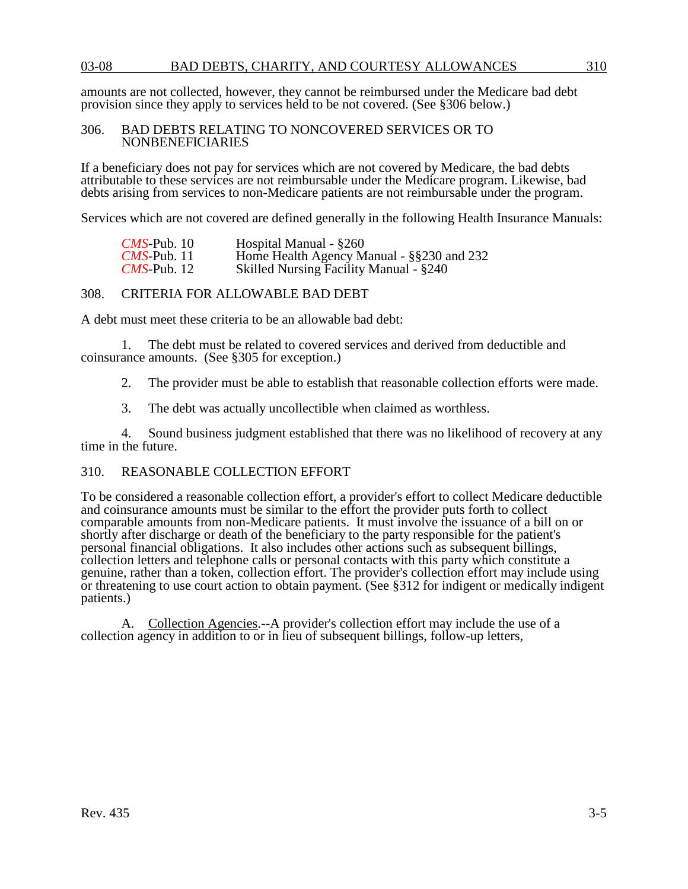amounts are not collected, however, they cannot be reimbursed under the Medicare bad debt provision since they apply to services held to be not covered. (See §306 below.)

#### 306. BAD DEBTS RELATING TO NONCOVERED SERVICES OR TO NONBENEFICIARIES

If a beneficiary does not pay for services which are not covered by Medicare, the bad debts attributable to these services are not reimbursable under the Medicare program. Likewise, bad debts arising from services to non-Medicare patients are not reimbursable under the program.

Services which are not covered are defined generally in the following Health Insurance Manuals:

| $CMS$ -Pub. 10     | Hospital Manual - §260                    |
|--------------------|-------------------------------------------|
| $CMS$ -Pub. 11     | Home Health Agency Manual - §§230 and 232 |
| <i>CMS-Pub.</i> 12 | Skilled Nursing Facility Manual - §240    |

#### 308. CRITERIA FOR ALLOWABLE BAD DEBT

A debt must meet these criteria to be an allowable bad debt:

1. The debt must be related to covered services and derived from deductible and coinsurance amounts. (See §305 for exception.)

2. The provider must be able to establish that reasonable collection efforts were made.

3. The debt was actually uncollectible when claimed as worthless.

4. Sound business judgment established that there was no likelihood of recovery at any time in the future.

## 310. REASONABLE COLLECTION EFFORT

To be considered a reasonable collection effort, a provider's effort to collect Medicare deductible and coinsurance amounts must be similar to the effort the provider puts forth to collect comparable amounts from non-Medicare patients. It must involve the issuance of a bill on or shortly after discharge or death of the beneficiary to the party responsible for the patient's personal financial obligations. It also includes other actions such as subsequent billings, collection letters and telephone calls or personal contacts with this party which constitute a genuine, rather than a token, collection effort. The provider's collection effort may include using or threatening to use court action to obtain payment. (See §312 for indigent or medically indigent patients.)

A. Collection Agencies.--A provider's collection effort may include the use of a collection agency in addition to or in lieu of subsequent billings, follow-up letters,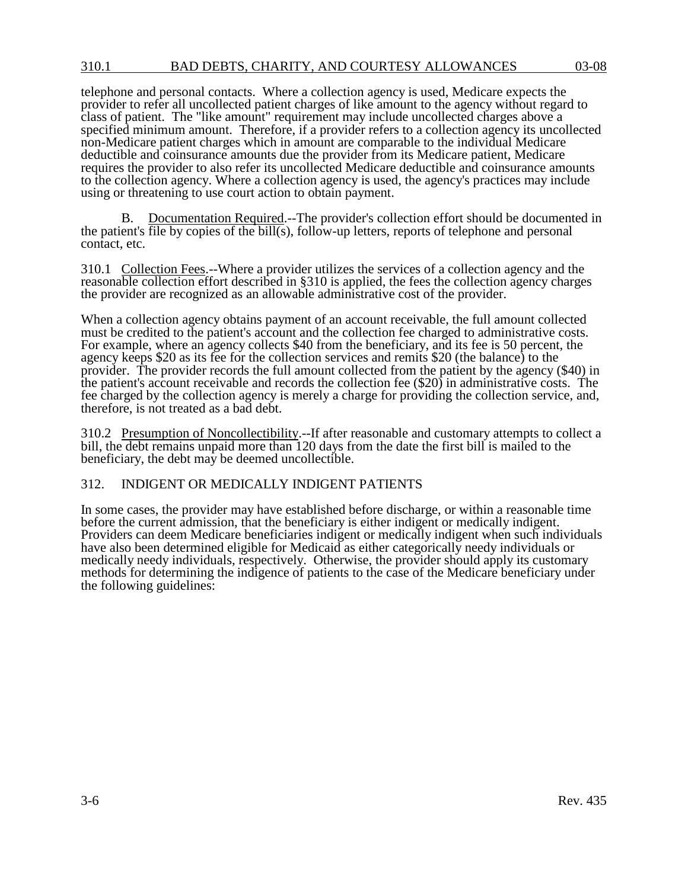telephone and personal contacts. Where a collection agency is used, Medicare expects the provider to refer all uncollected patient charges of like amount to the agency without regard to class of patient. The "like amount" requirement may include uncollected charges above a specified minimum amount. Therefore, if a provider refers to a collection agency its uncollected non-Medicare patient charges which in amount are comparable to the individual Medicare deductible and coinsurance amounts due the provider from its Medicare patient, Medicare requires the provider to also refer its uncollected Medicare deductible and coinsurance amounts to the collection agency. Where a collection agency is used, the agency's practices may include using or threatening to use court action to obtain payment.

B. Documentation Required.--The provider's collection effort should be documented in the patient's file by copies of the bill(s), follow-up letters, reports of telephone and personal contact, etc.

310.1 Collection Fees.--Where a provider utilizes the services of a collection agency and the reasonable collection effort described in §310 is applied, the fees the collection agency charges the provider are recognized as an allowable administrative cost of the provider.

When a collection agency obtains payment of an account receivable, the full amount collected must be credited to the patient's account and the collection fee charged to administrative costs. For example, where an agency collects \$40 from the beneficiary, and its fee is 50 percent, the agency keeps \$20 as its fee for the collection services and remits \$20 (the balance) to the provider. The provider records the full amount collected from the patient by the agency (\$40) in the patient's account receivable and records the collection fee (\$20) in administrative costs. The fee charged by the collection agency is merely a charge for providing the collection service, and, therefore, is not treated as a bad debt.

310.2 Presumption of Noncollectibility.--If after reasonable and customary attempts to collect a bill, the debt remains unpaid more than 120 days from the date the first bill is mailed to the beneficiary, the debt may be deemed uncollectible.

## 312. INDIGENT OR MEDICALLY INDIGENT PATIENTS

In some cases, the provider may have established before discharge, or within a reasonable time before the current admission, that the beneficiary is either indigent or medically indigent. Providers can deem Medicare beneficiaries indigent or medically indigent when such individuals have also been determined eligible for Medicaid as either categorically needy individuals or medically needy individuals, respectively. Otherwise, the provider should apply its customary methods for determining the indigence of patients to the case of the Medicare beneficiary under the following guidelines: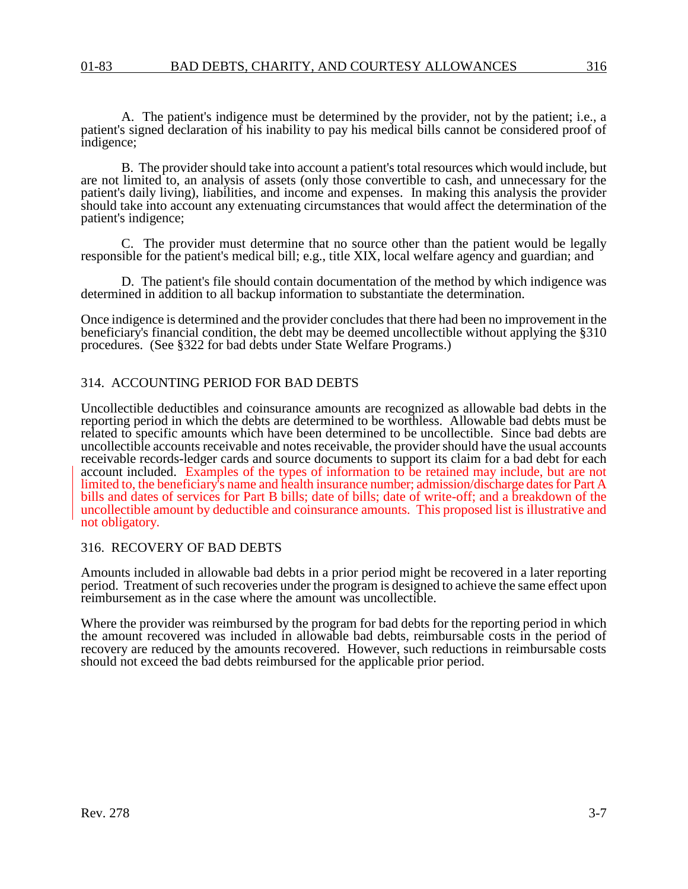A. The patient's indigence must be determined by the provider, not by the patient; i.e., a patient's signed declaration of his inability to pay his medical bills cannot be considered proof of indigence;

B. The provider should take into account a patient's total resources which would include, but are not limited to, an analysis of assets (only those convertible to cash, and unnecessary for the patient's daily living), liabilities, and income and expenses. In making this analysis the provider should take into account any extenuating circumstances that would affect the determination of the patient's indigence;

C. The provider must determine that no source other than the patient would be legally responsible for the patient's medical bill; e.g., title XIX, local welfare agency and guardian; and

D. The patient's file should contain documentation of the method by which indigence was determined in addition to all backup information to substantiate the determination.

Once indigence is determined and the provider concludes that there had been no improvement in the beneficiary's financial condition, the debt may be deemed uncollectible without applying the §310 procedures. (See §322 for bad debts under State Welfare Programs.)

#### 314. ACCOUNTING PERIOD FOR BAD DEBTS

Uncollectible deductibles and coinsurance amounts are recognized as allowable bad debts in the reporting period in which the debts are determined to be worthless. Allowable bad debts must be related to specific amounts which have been determined to be uncollectible. Since bad debts are uncollectible accounts receivable and notes receivable, the provider should have the usual accounts receivable records-ledger cards and source documents to support its claim for a bad debt for each account included. Examples of the types of information to be retained may include, but are not limited to, the beneficiary's name and health insurance number; admission/discharge dates for Part A bills and dates of services for Part B bills; date of bills; date of write-off; and a breakdown of the uncollectible amount by deductible and coinsurance amounts. This proposed list is illustrative and not obligatory.

#### 316. RECOVERY OF BAD DEBTS

Amounts included in allowable bad debts in a prior period might be recovered in a later reporting period. Treatment of such recoveries under the program is designed to achieve the same effect upon reimbursement as in the case where the amount was uncollectible.

Where the provider was reimbursed by the program for bad debts for the reporting period in which the amount recovered was included in allowable bad debts, reimbursable costs in the period of recovery are reduced by the amounts recovered. However, such reductions in reimbursable costs should not exceed the bad debts reimbursed for the applicable prior period.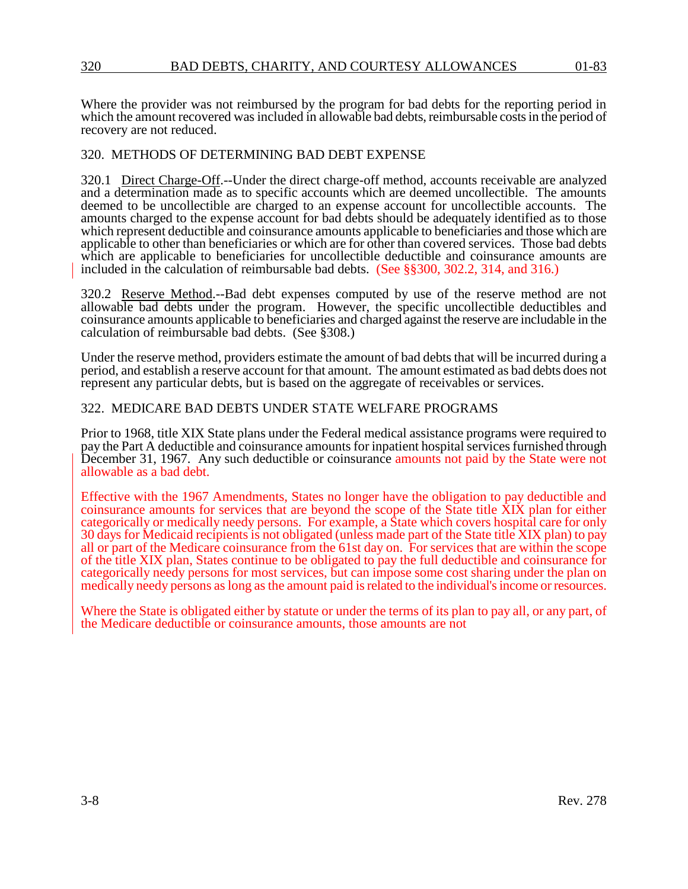Where the provider was not reimbursed by the program for bad debts for the reporting period in which the amount recovered was included in allowable bad debts, reimbursable costs in the period of recovery are not reduced.

## 320. METHODS OF DETERMINING BAD DEBT EXPENSE

320.1 Direct Charge-Off.--Under the direct charge-off method, accounts receivable are analyzed and a determination made as to specific accounts which are deemed uncollectible. The amounts deemed to be uncollectible are charged to an expense account for uncollectible accounts. The amounts charged to the expense account for bad debts should be adequately identified as to those which represent deductible and coinsurance amounts applicable to beneficiaries and those which are applicable to other than beneficiaries or which are for other than covered services. Those bad debts which are applicable to beneficiaries for uncollectible deductible and coinsurance amounts are included in the calculation of reimbursable bad debts. (See §§300, 302.2, 314, and 316.)

320.2 Reserve Method.--Bad debt expenses computed by use of the reserve method are not allowable bad debts under the program. However, the specific uncollectible deductibles and coinsurance amounts applicable to beneficiaries and charged against the reserve are includable in the calculation of reimbursable bad debts. (See §308.)

Under the reserve method, providers estimate the amount of bad debts that will be incurred during a period, and establish a reserve account for that amount. The amount estimated as bad debts does not represent any particular debts, but is based on the aggregate of receivables or services.

## 322. MEDICARE BAD DEBTS UNDER STATE WELFARE PROGRAMS

Prior to 1968, title XIX State plans under the Federal medical assistance programs were required to pay the Part A deductible and coinsurance amounts for inpatient hospital services furnished through December 31, 1967. Any such deductible or coinsurance amounts not paid by the State were not allowable as a bad debt.

Effective with the 1967 Amendments, States no longer have the obligation to pay deductible and coinsurance amounts for services that are beyond the scope of the State title XIX plan for either categorically or medically needy persons. For example, a State which covers hospital care for only 30 days for Medicaid recipients is not obligated (unless made part of the State title XIX plan) to pay all or part of the Medicare coinsurance from the 61st day on. For services that are within the scope of the title XIX plan, States continue to be obligated to pay the full deductible and coinsurance for categorically needy persons for most services, but can impose some cost sharing under the plan on medically needy persons as long as the amount paid is related to the individual's income or resources.

Where the State is obligated either by statute or under the terms of its plan to pay all, or any part, of the Medicare deductible or coinsurance amounts, those amounts are not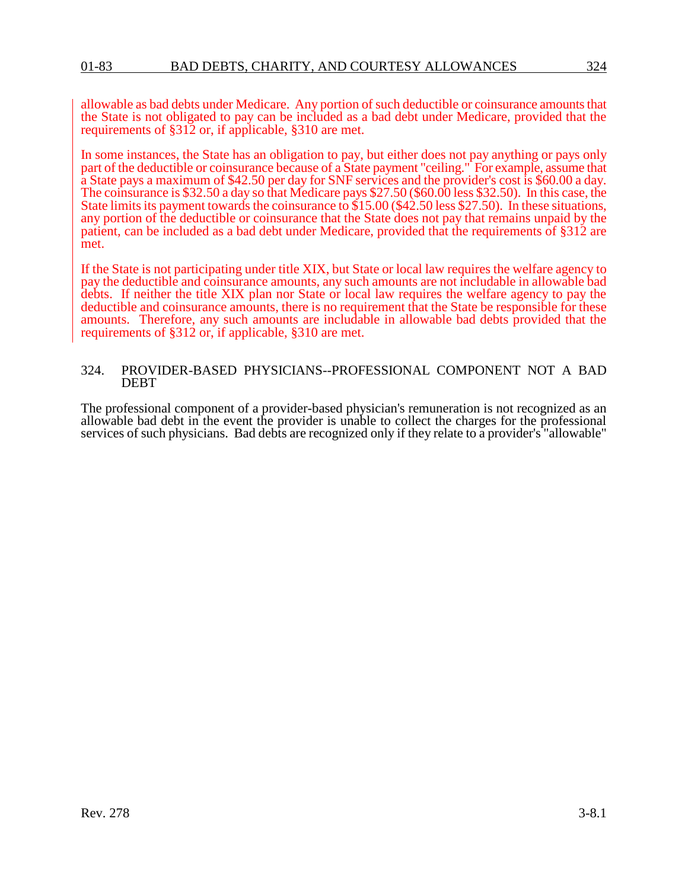allowable as bad debts under Medicare. Any portion of such deductible or coinsurance amounts that the State is not obligated to pay can be included as a bad debt under Medicare, provided that the requirements of §312 or, if applicable, §310 are met.

In some instances, the State has an obligation to pay, but either does not pay anything or pays only part of the deductible or coinsurance because of a State payment "ceiling." For example, assume that a State pays a maximum of \$42.50 per day for SNF services and the provider's cost is \$60.00 a day. The coinsurance is \$32.50 a day so that Medicare pays \$27.50 (\$60.00 less \$32.50). In this case, the State limits its payment towards the coinsurance to \$15.00 (\$42.50 less \$27.50). In these situations, any portion of the deductible or coinsurance that the State does not pay that remains unpaid by the patient, can be included as a bad debt under Medicare, provided that the requirements of §312 are met.

If the State is not participating under title XIX, but State or local law requires the welfare agency to pay the deductible and coinsurance amounts, any such amounts are not includable in allowable bad debts. If neither the title XIX plan nor State or local law requires the welfare agency to pay the deductible and coinsurance amounts, there is no requirement that the State be responsible for these amounts. Therefore, any such amounts are includable in allowable bad debts provided that the requirements of §312 or, if applicable, §310 are met.

#### 324. PROVIDER-BASED PHYSICIANS--PROFESSIONAL COMPONENT NOT A BAD DEBT

The professional component of a provider-based physician's remuneration is not recognized as an allowable bad debt in the event the provider is unable to collect the charges for the professional services of such physicians. Bad debts are recognized only if they relate to a provider's "allowable"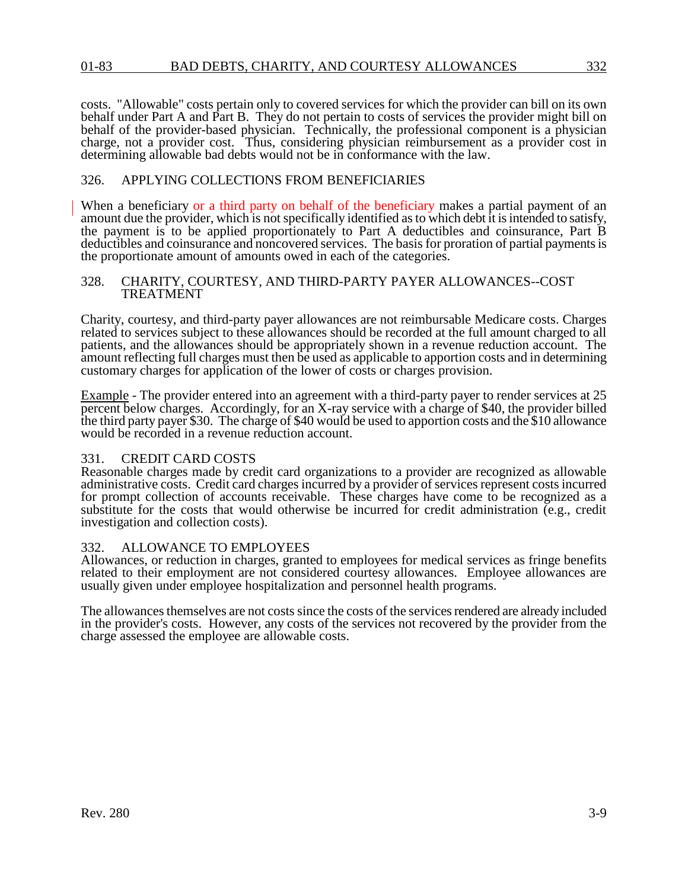costs. "Allowable" costs pertain only to covered services for which the provider can bill on its own behalf under Part A and Part B. They do not pertain to costs of services the provider might bill on behalf of the provider-based physician. Technically, the professional component is a physician charge, not a provider cost. Thus, considering physician reimbursement as a provider cost in determining allowable bad debts would not be in conformance with the law.

## 326. APPLYING COLLECTIONS FROM BENEFICIARIES

When a beneficiary or a third party on behalf of the beneficiary makes a partial payment of an amount due the provider, which is not specifically identified as to which debt it is intended to satisfy, the payment is to be applied proportionately to Part A deductibles and coinsurance, Part B deductibles and coinsurance and noncovered services. The basis for proration of partial payments is the proportionate amount of amounts owed in each of the categories.

#### 328. CHARITY, COURTESY, AND THIRD-PARTY PAYER ALLOWANCES--COST TREATMENT

Charity, courtesy, and third-party payer allowances are not reimbursable Medicare costs. Charges related to services subject to these allowances should be recorded at the full amount charged to all patients, and the allowances should be appropriately shown in a revenue reduction account. The amount reflecting full charges must then be used as applicable to apportion costs and in determining customary charges for application of the lower of costs or charges provision.

Example - The provider entered into an agreement with a third-party payer to render services at 25 percent below charges. Accordingly, for an X-ray service with a charge of \$40, the provider billed the third party payer \$30. The charge of \$40 would be used to apportion costs and the \$10 allowance would be recorded in a revenue reduction account.

### 331. CREDIT CARD COSTS

Reasonable charges made by credit card organizations to a provider are recognized as allowable administrative costs. Credit card charges incurred by a provider of services represent costs incurred for prompt collection of accounts receivable. These charges have come to be recognized as a substitute for the costs that would otherwise be incurred for credit administration (e.g., credit investigation and collection costs).

### 332. ALLOWANCE TO EMPLOYEES

Allowances, or reduction in charges, granted to employees for medical services as fringe benefits related to their employment are not considered courtesy allowances. Employee allowances are usually given under employee hospitalization and personnel health programs.

The allowances themselves are not costs since the costs of the services rendered are already included in the provider's costs. However, any costs of the services not recovered by the provider from the charge assessed the employee are allowable costs.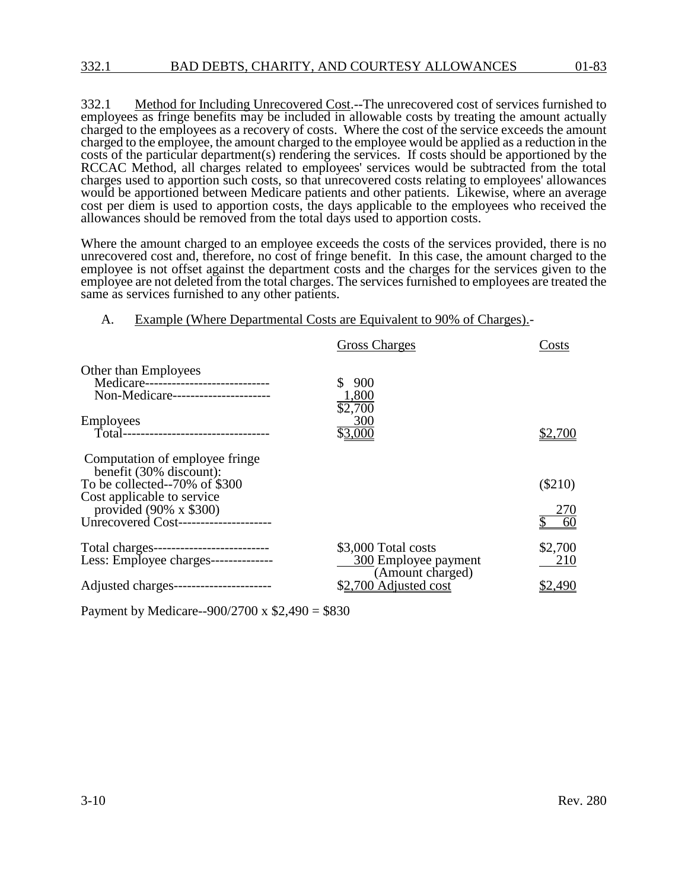332.1 Method for Including Unrecovered Cost.--The unrecovered cost of services furnished to employees as fringe benefits may be included in allowable costs by treating the amount actually charged to the employees as a recovery of costs. Where the cost of the service exceeds the amount charged to the employee, the amount charged to the employee would be applied as a reduction in the costs of the particular department(s) rendering the services. If costs should be apportioned by the RCCAC Method, all charges related to employees' services would be subtracted from the total charges used to apportion such costs, so that unrecovered costs relating to employees' allowances would be apportioned between Medicare patients and other patients. Likewise, where an average cost per diem is used to apportion costs, the days applicable to the employees who received the allowances should be removed from the total days used to apportion costs.

Where the amount charged to an employee exceeds the costs of the services provided, there is no unrecovered cost and, therefore, no cost of fringe benefit. In this case, the amount charged to the employee is not offset against the department costs and the charges for the services given to the employee are not deleted from the total charges. The services furnished to employees are treated the same as services furnished to any other patients.

#### A. Example (Where Departmental Costs are Equivalent to 90% of Charges).-

|                                                                                                      | <b>Gross Charges</b>                                            | Costs          |
|------------------------------------------------------------------------------------------------------|-----------------------------------------------------------------|----------------|
| Other than Employees<br>Medicare----------------------------<br>Non-Medicare----------------------   | 900<br>1,800<br>\$2,700                                         |                |
| <b>Employees</b><br>Total----------------------------------                                          | 300<br>$\underline{00}$                                         |                |
| Computation of employee fringe<br>benefit (30% discount):<br>To be collected--70% of \$300           |                                                                 | $(\$210)$      |
| Cost applicable to service<br>provided $(90\% \times $300)$<br>Unrecovered Cost--------------------- |                                                                 | 270<br>60      |
| Total charges---------------------------<br>Less: Employee charges---------------                    | \$3,000 Total costs<br>300 Employee payment<br>(Amount charged) | \$2,700<br>210 |
| Adjusted charges-----------------------                                                              | \$2,700 Adjusted cost                                           | \$2.490        |

Payment by Medicare--900/2700 x \$2,490 = \$830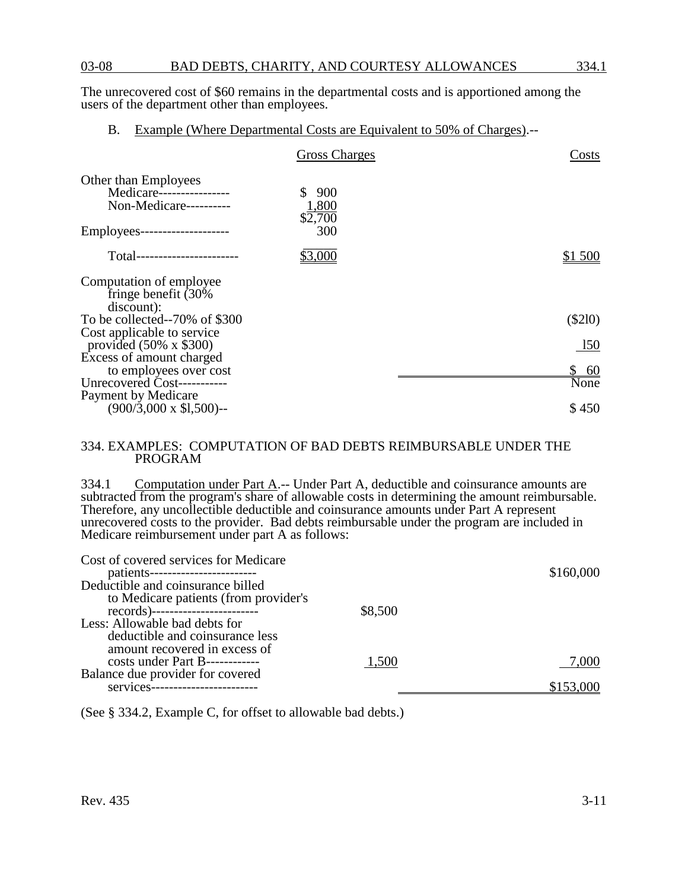The unrecovered cost of \$60 remains in the departmental costs and is apportioned among the users of the department other than employees.

B. Example (Where Departmental Costs are Equivalent to 50% of Charges).--

|                                                                                   | <b>Gross Charges</b>    | Costs     |
|-----------------------------------------------------------------------------------|-------------------------|-----------|
| <b>Other than Employees</b><br>Medicare----------------<br>Non-Medicare---------- | 900<br>1,800<br>\$2,700 |           |
| Employees---------------------                                                    | 300                     |           |
| Total------------------------                                                     | \$3.000                 | \$1 500   |
| Computation of employee<br>fringe benefit (30%<br>discount):                      |                         |           |
| To be collected--70% of \$300                                                     |                         | $(\$210)$ |
| Cost applicable to service<br>provided $(50\% \times $300)$                       |                         | 150       |
| Excess of amount charged<br>to employees over cost                                |                         | <u>60</u> |
| Unrecovered Cost-----------                                                       |                         | None      |
| Payment by Medicare<br>(900/3,000 x \$1,500)--                                    |                         | \$450     |

#### 334. EXAMPLES: COMPUTATION OF BAD DEBTS REIMBURSABLE UNDER THE PROGRAM

334.1 Computation under Part A.-- Under Part A, deductible and coinsurance amounts are subtracted from the program's share of allowable costs in determining the amount reimbursable. Therefore, any uncollectible deductible and coinsurance amounts under Part A represent unrecovered costs to the provider. Bad debts reimbursable under the program are included in Medicare reimbursement under part A as follows:

| Cost of covered services for Medicare |         |           |
|---------------------------------------|---------|-----------|
| patients-----------------------       |         | \$160,000 |
| Deductible and coinsurance billed     |         |           |
| to Medicare patients (from provider's |         |           |
|                                       | \$8,500 |           |
| Less: Allowable bad debts for         |         |           |
| deductible and coinsurance less       |         |           |
| amount recovered in excess of         |         |           |
| costs under Part B------------        | 1,500   | 7,000     |
| Balance due provider for covered      |         |           |
| services                              |         |           |

(See § 334.2, Example C, for offset to allowable bad debts.)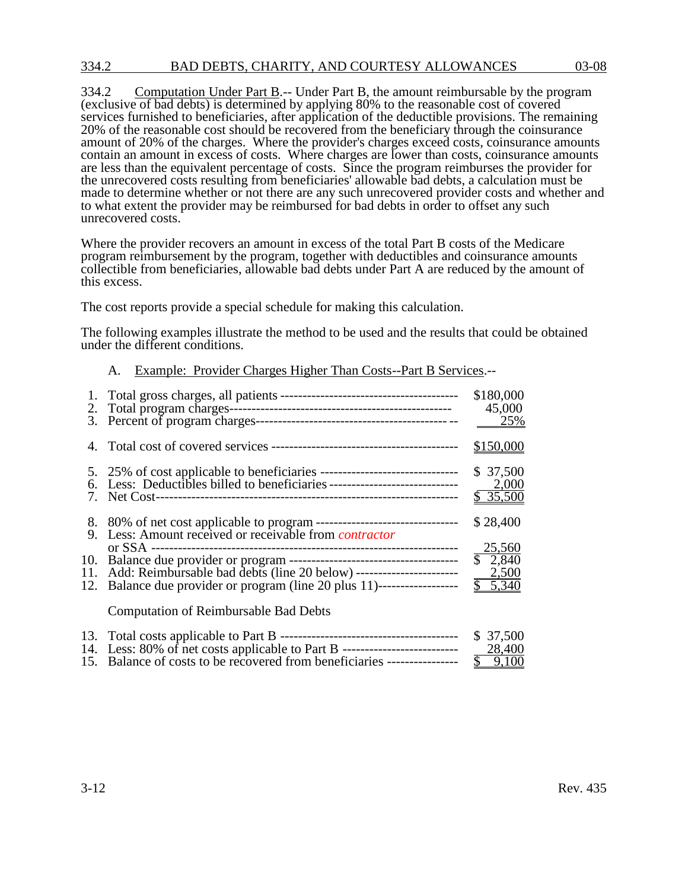## 334.2 BAD DEBTS, CHARITY, AND COURTESY ALLOWANCES 03-08

334.2 Computation Under Part B.-- Under Part B, the amount reimbursable by the program (exclusive of bad debts) is determined by applying 80% to the reasonable cost of covered services furnished to beneficiaries, after application of the deductible provisions. The remaining 20% of the reasonable cost should be recovered from the beneficiary through the coinsurance amount of 20% of the charges. Where the provider's charges exceed costs, coinsurance amounts contain an amount in excess of costs. Where charges are lower than costs, coinsurance amounts are less than the equivalent percentage of costs. Since the program reimburses the provider for the unrecovered costs resulting from beneficiaries' allowable bad debts, a calculation must be made to determine whether or not there are any such unrecovered provider costs and whether and to what extent the provider may be reimbursed for bad debts in order to offset any such unrecovered costs.

Where the provider recovers an amount in excess of the total Part B costs of the Medicare program reimbursement by the program, together with deductibles and coinsurance amounts collectible from beneficiaries, allowable bad debts under Part A are reduced by the amount of this excess.

The cost reports provide a special schedule for making this calculation.

The following examples illustrate the method to be used and the results that could be obtained under the different conditions.

### A. Example: Provider Charges Higher Than Costs--Part B Services.--

|                                                                                                                                                               | \$180,000<br>45,000<br>25%                              |
|---------------------------------------------------------------------------------------------------------------------------------------------------------------|---------------------------------------------------------|
|                                                                                                                                                               | \$150,000                                               |
| 6. Less: Deductibles billed to beneficiaries -----------------------------------                                                                              | \$37,500<br>2,000<br>\$35,500                           |
|                                                                                                                                                               | \$28,400                                                |
| 11. Add: Reimbursable bad debts (line 20 below) ---------------------------------<br>12. Balance due provider or program (line 20 plus 11)------------------- | 25,560<br>$\sqrt{2,840}$<br>2,500<br>$\overline{5,340}$ |
| <b>Computation of Reimbursable Bad Debts</b>                                                                                                                  |                                                         |

|                                                                                   | \$ 37,500 |
|-----------------------------------------------------------------------------------|-----------|
| 14. Less: 80% of net costs applicable to Part B --------------------------------- | 28,400    |
| 15. Balance of costs to be recovered from beneficiaries -----------------         | \$9,100   |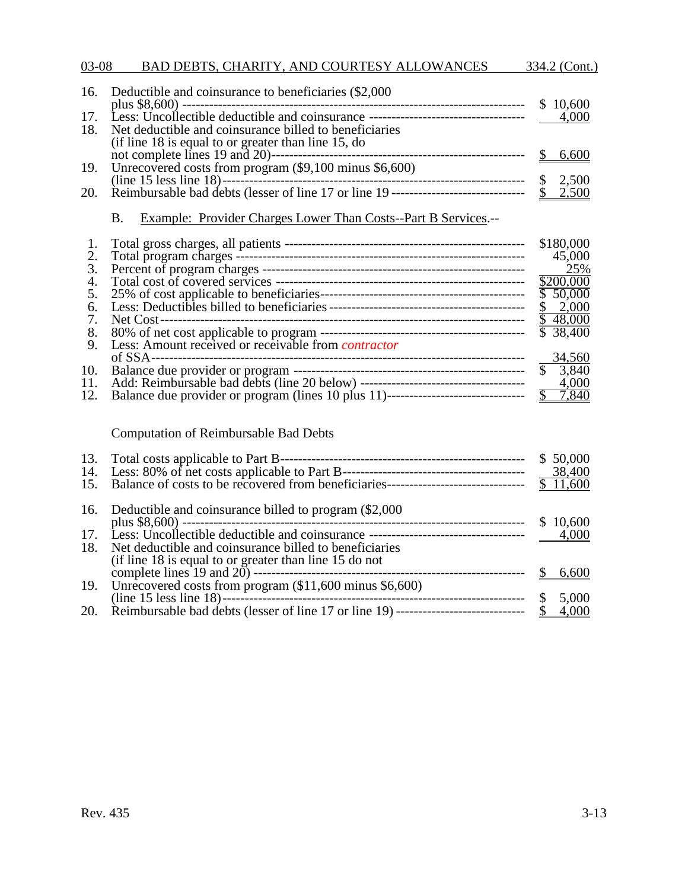| 03-08 |  | BAD DEBTS, CHARITY, AND COURTESY ALLOWANCES | 334.2 (Cont.) |  |
|-------|--|---------------------------------------------|---------------|--|
|       |  |                                             |               |  |

|     | 16. Deductible and coinsurance to beneficiaries (\$2,000)                               | \$10,600 |
|-----|-----------------------------------------------------------------------------------------|----------|
|     |                                                                                         | 4,000    |
| 18. | Net deductible and coinsurance billed to beneficiaries                                  |          |
|     | (if line 18 is equal to or greater than line 15, do                                     |          |
|     |                                                                                         | 6,600    |
|     | 19. Unrecovered costs from program (\$9,100 minus \$6,600)                              |          |
|     |                                                                                         | 2,500    |
|     | 20. Reimbursable bad debts (lesser of line 17 or line 19 ------------------------------ | \$2,500  |

# B. Example: Provider Charges Lower Than Costs--Part B Services.--

|     |                                                                                   | \$180,000             |
|-----|-----------------------------------------------------------------------------------|-----------------------|
| 2.  |                                                                                   | 45,000                |
| 3.  |                                                                                   | 25%                   |
| 4.  |                                                                                   | \$200,000             |
| 5.  | 25% of cost applicable to beneficiaries--                                         | \$50,000              |
| 6.  |                                                                                   | \$ 2,000              |
|     |                                                                                   | \$48,000              |
| 8.  |                                                                                   | $\overline{38,400}$   |
| 9.  | Less: Amount received or receivable from <i>contractor</i>                        |                       |
|     |                                                                                   | 34,560                |
| 10. |                                                                                   | 3,840<br>$\mathbb{S}$ |
| 11. |                                                                                   | 4,000                 |
| 12. | Balance due provider or program (lines 10 plus 11)------------------------------- | 7,840                 |
|     |                                                                                   |                       |

Computation of Reimbursable Bad Debts

| 13.<br>14.<br>15. |                                                             | \$50,000<br>38,400<br>\$11,600 |
|-------------------|-------------------------------------------------------------|--------------------------------|
|                   | 16. Deductible and coinsurance billed to program (\$2,000)  | \$10,600                       |
| 17.               |                                                             | 4,000                          |
| 18.               | Net deductible and coinsurance billed to beneficiaries      |                                |
|                   | (if line 18 is equal to or greater than line 15 do not      |                                |
|                   |                                                             | 6,600                          |
|                   | 19. Unrecovered costs from program (\$11,600 minus \$6,600) |                                |
|                   |                                                             | 5,000                          |
| 20.               |                                                             | 4,000                          |